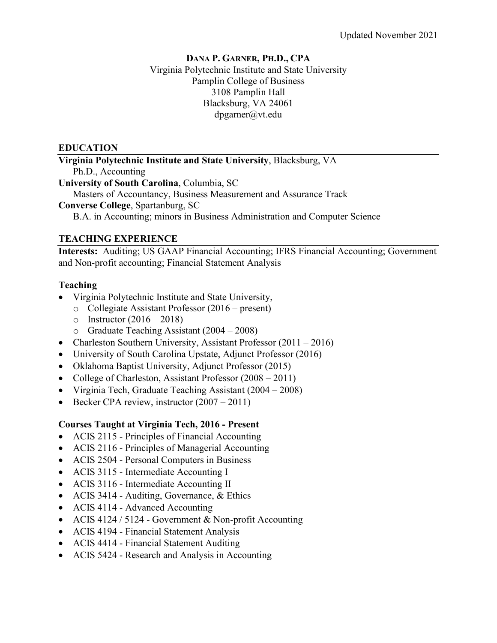#### **DANA P. GARNER, PH.D., CPA** Virginia Polytechnic Institute and State University Pamplin College of Business 3108 Pamplin Hall Blacksburg, VA 24061 dpgarner@vt.edu

#### **EDUCATION**

**Virginia Polytechnic Institute and State University**, Blacksburg, VA Ph.D., Accounting **University of South Carolina**, Columbia, SC Masters of Accountancy, Business Measurement and Assurance Track **Converse College**, Spartanburg, SC

B.A. in Accounting; minors in Business Administration and Computer Science

### **TEACHING EXPERIENCE**

**Interests:** Auditing; US GAAP Financial Accounting; IFRS Financial Accounting; Government and Non-profit accounting; Financial Statement Analysis

### **Teaching**

- Virginia Polytechnic Institute and State University,
	- o Collegiate Assistant Professor (2016 present)
	- o Instructor  $(2016 2018)$
	- o Graduate Teaching Assistant (2004 2008)
- Charleston Southern University, Assistant Professor (2011 2016)
- University of South Carolina Upstate, Adjunct Professor (2016)
- Oklahoma Baptist University, Adjunct Professor (2015)
- College of Charleston, Assistant Professor (2008 2011)
- Virginia Tech, Graduate Teaching Assistant (2004 2008)
- Becker CPA review, instructor  $(2007 2011)$

## **Courses Taught at Virginia Tech, 2016 - Present**

- ACIS 2115 Principles of Financial Accounting
- ACIS 2116 Principles of Managerial Accounting
- ACIS 2504 Personal Computers in Business
- ACIS 3115 Intermediate Accounting I
- ACIS 3116 Intermediate Accounting II
- ACIS 3414 Auditing, Governance, & Ethics
- ACIS 4114 Advanced Accounting
- ACIS 4124 / 5124 Government & Non-profit Accounting
- ACIS 4194 Financial Statement Analysis
- ACIS 4414 Financial Statement Auditing
- ACIS 5424 Research and Analysis in Accounting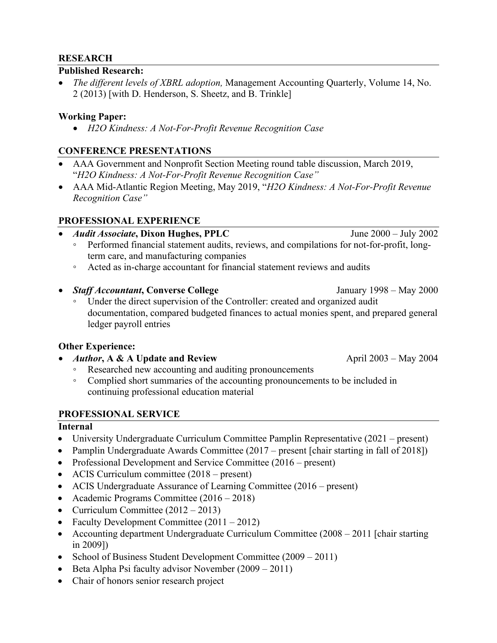### **RESEARCH**

#### **Published Research:**

• *The different levels of XBRL adoption,* Management Accounting Quarterly, Volume 14, No. 2 (2013) [with D. Henderson, S. Sheetz, and B. Trinkle]

### **Working Paper:**

• *H2O Kindness: A Not-For-Profit Revenue Recognition Case*

## **CONFERENCE PRESENTATIONS**

- AAA Government and Nonprofit Section Meeting round table discussion, March 2019, "*H2O Kindness: A Not-For-Profit Revenue Recognition Case"*
- AAA Mid-Atlantic Region Meeting, May 2019, "*H2O Kindness: A Not-For-Profit Revenue Recognition Case"*

## **PROFESSIONAL EXPERIENCE**

- *Audit Associate***, Dixon Hughes, PPLC** June 2000 July 2002
	- Performed financial statement audits, reviews, and compilations for not-for-profit, longterm care, and manufacturing companies
	- Acted as in-charge accountant for financial statement reviews and audits
- *Staff Accountant*, Converse College January 1998 May 2000
	- Under the direct supervision of the Controller: created and organized audit documentation, compared budgeted finances to actual monies spent, and prepared general ledger payroll entries

### **Other Experience:**

- *Author*, A & A Update and Review **April 2003** May 2004
	- Researched new accounting and auditing pronouncements
	- Complied short summaries of the accounting pronouncements to be included in continuing professional education material

### **PROFESSIONAL SERVICE**

### **Internal**

- University Undergraduate Curriculum Committee Pamplin Representative (2021 present)
- Pamplin Undergraduate Awards Committee (2017 present [chair starting in fall of 2018])
- Professional Development and Service Committee (2016 present)
- ACIS Curriculum committee (2018 present)
- ACIS Undergraduate Assurance of Learning Committee (2016 present)
- Academic Programs Committee (2016 2018)
- Curriculum Committee  $(2012 2013)$
- Faculty Development Committee (2011 2012)
- Accounting department Undergraduate Curriculum Committee (2008 2011 [chair starting in 2009])
- School of Business Student Development Committee (2009 2011)
- Beta Alpha Psi faculty advisor November (2009 2011)
- Chair of honors senior research project